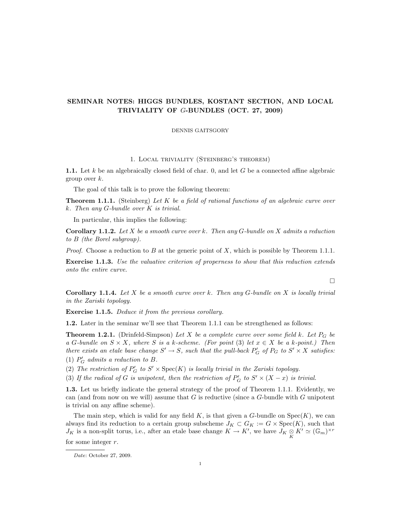# SEMINAR NOTES: HIGGS BUNDLES, KOSTANT SECTION, AND LOCAL TRIVIALITY OF G-BUNDLES (OCT. 27, 2009)

DENNIS GAITSGORY

1. Local triviality (Steinberg's theorem)

1.1. Let k be an algebraically closed field of char. 0, and let G be a connected affine algebraic group over k.

The goal of this talk is to prove the following theorem:

**Theorem 1.1.1.** (Steinberg) Let  $K$  be a field of rational functions of an algebraic curve over k. Then any G-bundle over K is trivial.

In particular, this implies the following:

**Corollary 1.1.2.** Let X be a smooth curve over k. Then any  $G$ -bundle on X admits a reduction to B (the Borel subgroup).

*Proof.* Choose a reduction to B at the generic point of X, which is possible by Theorem 1.1.1.

Exercise 1.1.3. Use the valuative criterion of properness to show that this reduction extends onto the entire curve.

 $\Box$ 

**Corollary 1.1.4.** Let X be a smooth curve over k. Then any  $G$ -bundle on X is locally trivial in the Zariski topology.

Exercise 1.1.5. Deduce it from the previous corollary.

1.2. Later in the seminar we'll see that Theorem 1.1.1 can be strengthened as follows:

**Theorem 1.2.1.** (Drinfeld-Simpson) Let X be a complete curve over some field k. Let  $P_G$  be a G-bundle on  $S \times X$ , where S is a k-scheme. (For point (3) let  $x \in X$  be a k-point.) Then there exists an etale base change  $S' \to S$ , such that the pull-back  $P'_G$  of  $P_G$  to  $S' \times X$  satisfies:

(1)  $P'_G$  admits a reduction to B.

(2) The restriction of  $P'_G$  to  $S' \times \text{Spec}(K)$  is locally trivial in the Zariski topology.

(3) If the radical of G is unipotent, then the restriction of  $P'_G$  to  $S' \times (X - x)$  is trivial.

1.3. Let us briefly indicate the general strategy of the proof of Theorem 1.1.1. Evidently, we can (and from now on we will) assume that G is reductive (since a  $G$ -bundle with  $G$  unipotent is trivial on any affine scheme).

The main step, which is valid for any field  $K$ , is that given a  $G$ -bundle on  $Spec(K)$ , we can always find its reduction to a certain group subscheme  $J_K \subset G_K := G \times \text{Spec}(K)$ , such that  $J_K$  is a non-split torus, i.e., after an etale base change  $K \to K'$ , we have  $J_K \underset{K}{\otimes} K' \simeq (\mathbb{G}_m)^{\times r}$ for some integer  $r$ .

Date: October 27, 2009.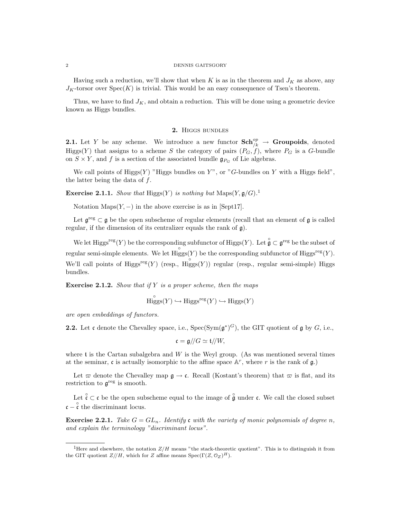Having such a reduction, we'll show that when K is as in the theorem and  $J_K$  as above, any  $J_K$ -torsor over  $Spec(K)$  is trivial. This would be an easy consequence of Tsen's theorem.

Thus, we have to find  $J_K$ , and obtain a reduction. This will be done using a geometric device known as Higgs bundles.

# 2. Higgs bundles

**2.1.** Let Y be any scheme. We introduce a new functor  $\text{Sch}_{/k}^{\text{op}} \to \text{Groupoids},$  denoted Higgs(Y) that assigns to a scheme S the category of pairs  $(P_G, f)$ , where  $P_G$  is a G-bundle on  $S \times Y$ , and f is a section of the associated bundle  $\mathfrak{g}_{P_G}$  of Lie algebras.

We call points of  $\text{Higgs}(Y)$  "Higgs bundles on Y", or "G-bundles on Y with a Higgs field", the latter being the data of  $f$ .

**Exercise 2.1.1.** Show that Higgs(Y) is nothing but  $\text{Maps}(Y, \mathfrak{g}/G)$ .<sup>1</sup>

Notation Maps $(Y, -)$  in the above exercise is as in [Sept17].

Let  $\mathfrak{g}^{\text{reg}} \subset \mathfrak{g}$  be the open subscheme of regular elements (recall that an element of  $\mathfrak{g}$  is called regular, if the dimension of its centralizer equals the rank of g).

We let Higgs<sup>reg</sup> $(Y)$  be the corresponding subfunctor of Higgs $(Y)$ . Let  $\overset{\circ}{\mathfrak{g}} \subset \mathfrak{g}^{\text{reg}}$  be the subset of regular semi-simple elements. We let  $\text{Higgs}(Y)$  be the corresponding subfunctor of  $\text{Higgs}^{\text{reg}}(Y)$ . We'll call points of Higgs<sup>reg</sup> $(Y)$  (resp., Higgs $(Y)$ ) regular (resp., regular semi-simple) Higgs bundles.

**Exercise 2.1.2.** Show that if Y is a proper scheme, then the maps

$$
\overset{\circ}{\text{Higgs}}(Y) \hookrightarrow \text{Higgs}^{\text{reg}}(Y) \hookrightarrow \text{Higgs}(Y)
$$

are open embeddings of functors.

**2.2.** Let c denote the Chevalley space, i.e.,  $Spec(Sym(\mathfrak{g}^*)^G)$ , the GIT quotient of g by G, i.e.,

$$
\mathfrak{c} = \mathfrak{g} /\!/ G \simeq \mathfrak{t} /\!/ W,
$$

where t is the Cartan subalgebra and  $W$  is the Weyl group. (As was mentioned several times at the seminar, c is actually isomorphic to the affine space  $\mathbb{A}^r$ , where r is the rank of  $\mathfrak{g}$ .)

Let  $\varpi$  denote the Chevalley map  $\mathfrak{g} \to \mathfrak{c}$ . Recall (Kostant's theorem) that  $\varpi$  is flat, and its restriction to  $\mathfrak{g}^{\text{reg}}$  is smooth.

Let  $\hat{\zeta} \subset \mathfrak{c}$  be the open subscheme equal to the image of  $\hat{\mathfrak{g}}$  under  $\mathfrak{c}$ . We call the closed subset  $\mathfrak{c} - \overset{\circ}{\mathfrak{c}}$  the discriminant locus.

**Exercise 2.2.1.** Take  $G = GL_n$ . Identify c with the variety of monic polynomials of degree n, and explain the terminology "discriminant locus".

<sup>&</sup>lt;sup>1</sup>Here and elsewhere, the notation  $Z/H$  means "the stack-theoretic quotient". This is to distinguish it from the GIT quotient  $Z/\ell H$ , which for Z affine means Spec( $\Gamma(Z,\mathcal{O}_Z)^H$ ).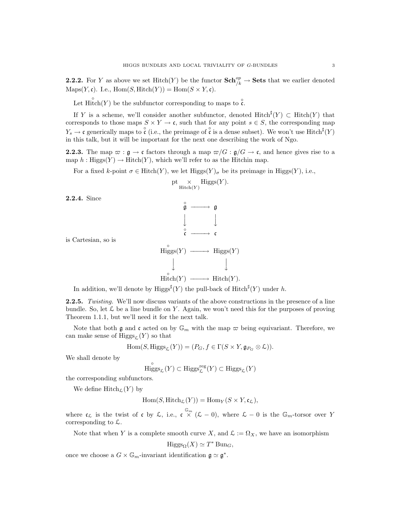**2.2.2.** For Y as above we set  $\text{Hitch}(Y)$  be the functor  $\text{Sch}^{op}_{/k} \to \text{Sets}$  that we earlier denoted  $\mathrm{Maps}(Y, \mathfrak{c})$ . I.e.,  $\mathrm{Hom}(S, \mathrm{Hitch}(Y)) = \mathrm{Hom}(S \times Y, \mathfrak{c})$ .

Let  $\text{Hitch}(Y)$  be the subfunctor corresponding to maps to  $\hat{c}$ .

If Y is a scheme, we'll consider another subfunctor, denoted  $Hitch^{\sharp}(Y) \subset Hitch(Y)$  that corresponds to those maps  $S \times Y \to \mathfrak{c}$ , such that for any point  $s \in S$ , the corresponding map  $Y_s \to \mathfrak{c}$  generically maps to  $\overset{\circ}{\mathfrak{c}}$  (i.e., the preimage of  $\overset{\circ}{\mathfrak{c}}$  is a dense subset). We won't use Hitch<sup>#</sup>(Y) in this talk, but it will be important for the next one describing the work of Ngo.

**2.2.3.** The map  $\varpi$  :  $\mathfrak{g} \to \mathfrak{c}$  factors through a map  $\varpi/G : \mathfrak{g}/G \to \mathfrak{c}$ , and hence gives rise to a map  $h : \text{Higgs}(Y) \to \text{Hitch}(Y)$ , which we'll refer to as the Hitchin map.

For a fixed k-point  $\sigma \in \text{Hitch}(Y)$ , we let  $\text{Higgs}(Y)_{\sigma}$  be its preimage in  $\text{Higgs}(Y)$ , i.e.,

$$
\operatorname{pt} \underset{\operatorname{Hitch}(Y)}{\times} \operatorname{Higgs}(Y).
$$

2.2.4. Since

is Cartesian, so is



In addition, we'll denote by Higgs<sup> $\sharp$ </sup>(Y) the pull-back of Hitch<sup> $\sharp$ </sup>(Y) under h.

2.2.5. Twisting. We'll now discuss variants of the above constructions in the presence of a line bundle. So, let  $\mathcal L$  be a line bundle on Y. Again, we won't need this for the purposes of proving Theorem 1.1.1, but we'll need it for the next talk.

Note that both g and c acted on by  $\mathbb{G}_m$  with the map  $\varpi$  being equivariant. Therefore, we can make sense of  $\text{Higgs}_{\ell}(Y)$  so that

$$
\mathrm{Hom}(S, \mathrm{Higgs}_{\mathcal{L}}(Y)) = (P_G, f \in \Gamma(S \times Y, \mathfrak{g}_{P_G} \otimes \mathcal{L})).
$$

We shall denote by

$$
\overset{\circ}{\mathrm{Higgs}}_{\mathcal{L}}(Y)\subset \mathrm{Higgs}_{\mathcal{L}}^{\mathrm{reg}}(Y)\subset \mathrm{Higgs}_{\mathcal{L}}(Y)
$$

the corresponding subfunctors.

We define  $\text{Hitch}_{\mathcal{L}}(Y)$  by

$$
\operatorname{Hom}(S,\operatorname{Hitch}_{\mathcal{L}}(Y))=\operatorname{Hom}_Y(S\times Y,\mathfrak{c}_{\mathcal{L}}),
$$

where  $\mathfrak{c}_{\mathcal{L}}$  is the twist of c by  $\mathcal{L}$ , i.e.,  $\mathfrak{c} \times (\mathcal{L} - 0)$ , where  $\mathcal{L} - 0$  is the  $\mathbb{G}_m$ -torsor over Y corresponding to  $\mathcal{L}$ .

Note that when Y is a complete smooth curve X, and  $\mathcal{L} := \Omega_X$ , we have an isomorphism

$$
\text{Higgs}_{\Omega}(X) \simeq T^* \operatorname{Bun}_G,
$$

once we choose a  $G \times \mathbb{G}_m$ -invariant identification  $\mathfrak{g} \simeq \mathfrak{g}^*$ .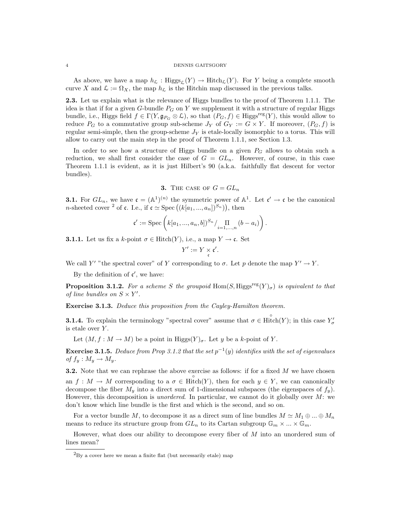As above, we have a map  $h_{\mathcal{L}} : Higgs_{\mathcal{L}}(Y) \to Hitch_{\mathcal{L}}(Y)$ . For Y being a complete smooth curve X and  $\mathcal{L} := \Omega_X$ , the map  $h_{\mathcal{L}}$  is the Hitchin map discussed in the previous talks.

2.3. Let us explain what is the relevance of Higgs bundles to the proof of Theorem 1.1.1. The idea is that if for a given G-bundle  $P_G$  on Y we supplement it with a structure of regular Higgs bundle, i.e., Higgs field  $f \in \Gamma(Y, \mathfrak{g}_{P_G} \otimes \mathcal{L})$ , so that  $(P_G, f) \in Higgs^{\text{reg}}(Y)$ , this would allow to reduce  $P_G$  to a commutative group sub-scheme  $J_Y$  of  $G_Y := G \times Y$ . If moreover,  $(P_G, f)$  is regular semi-simple, then the group-scheme  $J<sub>Y</sub>$  is etale-locally isomorphic to a torus. This will allow to carry out the main step in the proof of Theorem 1.1.1, see Section 1.3.

In order to see how a structure of Higgs bundle on a given  $P_G$  allows to obtain such a reduction, we shall first consider the case of  $G = GL_n$ . However, of course, in this case Theorem 1.1.1 is evident, as it is just Hilbert's 90 (a.k.a. faithfully flat descent for vector bundles).

3. THE CASE OF  $G = GL_n$ 

**3.1.** For  $GL_n$ , we have  $\mathfrak{c} = (\mathbb{A}^1)^{(n)}$  the symmetric power of  $\mathbb{A}^1$ . Let  $\mathfrak{c}' \to \mathfrak{c}$  be the canonical *n*-sheeted cover <sup>2</sup> of **c**. I.e., if  $\mathfrak{c} \simeq \text{Spec}((k[a_1, ..., a_n])^{S_n})$ , then

$$
\mathfrak{c}' := \mathrm{Spec} \left( k[a_1, ..., a_n, b])^{S_n} / \prod_{i=1, ..., n} (b - a_i) \right).
$$

**3.1.1.** Let us fix a k-point  $\sigma \in \text{Hitch}(Y)$ , i.e., a map  $Y \to \mathfrak{c}$ . Set

$$
Y':=Y\times_{\mathfrak{c}}\mathfrak{c}'.
$$

We call Y' "the spectral cover" of Y corresponding to  $\sigma$ . Let p denote the map  $Y' \to Y$ .

By the definition of  $c'$ , we have:

**Proposition 3.1.2.** For a scheme S the groupoid Hom(S, Higgs<sup>reg</sup> $(Y)_{\sigma}$ ) is equivalent to that of line bundles on  $S \times Y'$ .

Exercise 3.1.3. Deduce this proposition from the Cayley-Hamilton theorem.

**3.1.4.** To explain the terminology "spectral cover" assume that  $\sigma \in \text{Hitch}(Y)$ ; in this case  $Y'_{\sigma}$ is etale over  $Y$ .

Let  $(M, f : M \to M)$  be a point in Higgs $(Y)_{\sigma}$ . Let y be a k-point of Y.

**Exercise 3.1.5.** Deduce from Prop 3.1.2 that the set  $p^{-1}(y)$  identifies with the set of eigenvalues of  $f_y: M_y \to M_y$ .

**3.2.** Note that we can rephrase the above exercise as follows: if for a fixed  $M$  we have chosen an  $f: M \to M$  corresponding to a  $\sigma \in \text{Hitch}(Y)$ , then for each  $y \in Y$ , we can canonically decompose the fiber  $M_y$  into a direct sum of 1-dimensional subspaces (the eigenspaces of  $f_y$ ). However, this decomposition is *unordered*. In particular, we cannot do it globally over  $M$ : we don't know which line bundle is the first and which is the second, and so on.

For a vector bundle M, to decompose it as a direct sum of line bundles  $M \simeq M_1 \oplus ... \oplus M_n$ means to reduce its structure group from  $GL_n$  to its Cartan subgroup  $\mathbb{G}_m \times ... \times \mathbb{G}_m$ .

However, what does our ability to decompose every fiber of M into an unordered sum of lines mean?

 ${}^{2}$ By a cover here we mean a finite flat (but necessarily etale) map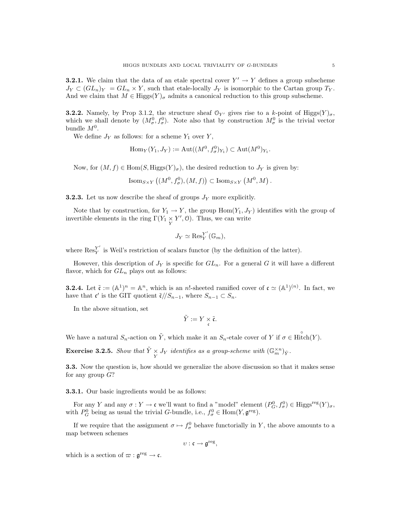**3.2.1.** We claim that the data of an etale spectral cover  $Y' \to Y$  defines a group subscheme  $J_Y \subset (GL_n)_Y = GL_n \times Y$ , such that etale-locally  $J_Y$  is isomorphic to the Cartan group  $T_Y$ . And we claim that  $M \in Higgs(Y)_{\sigma}$  admits a canonical reduction to this group subscheme.

**3.2.2.** Namely, by Prop 3.1.2, the structure sheaf  $\mathcal{O}_{Y'}$  gives rise to a k-point of Higgs $(Y)_{\sigma}$ , which we shall denote by  $(M^0_\sigma, f^0_\sigma)$ . Note also that by construction  $M^0_\sigma$  is the trivial vector bundle  $M^0$ .

We define  $J_Y$  as follows: for a scheme  $Y_1$  over  $Y$ ,

$$
\operatorname{Hom}_Y(Y_1, J_Y) := \operatorname{Aut}((M^0, f^0_{\sigma})_{Y_1}) \subset \operatorname{Aut}(M^0)_{Y_1}.
$$

Now, for  $(M, f) \in \text{Hom}(S, Higgs(Y)_{\sigma})$ , the desired reduction to  $J_Y$  is given by:

$$
\text{Isom}_{S\times Y}\left((M^0, f^0_{\sigma}), (M, f)\right) \subset \text{Isom}_{S\times Y}\left(M^0, M\right).
$$

**3.2.3.** Let us now describe the sheaf of groups  $J<sub>Y</sub>$  more explicitly.

Note that by construction, for  $Y_1 \to Y$ , the group  $\text{Hom}(Y_1, J_Y)$  identifies with the group of invertible elements in the ring  $\Gamma(Y_1 \underset{Y}{\times} Y', 0)$ . Thus, we can write

$$
J_Y \simeq \operatorname{Res}_Y^{Y'}(\mathbb{G}_m),
$$

where  $\operatorname{Res}_{Y}^{Y'}$  $Y<sub>Y</sub>$  is Weil's restriction of scalars functor (by the definition of the latter).

However, this description of  $J<sub>Y</sub>$  is specific for  $GL<sub>n</sub>$ . For a general G it will have a different flavor, which for  $GL_n$  plays out as follows:

**3.2.4.** Let  $\tilde{\mathfrak{c}} := (\mathbb{A}^1)^n = \mathbb{A}^n$ , which is an n!-sheeted ramified cover of  $\mathfrak{c} \simeq (\mathbb{A}^1)^{(n)}$ . In fact, we have that  $\mathfrak{c}'$  is the GIT quotient  $\tilde{\mathfrak{c}}/S_{n-1}$ , where  $S_{n-1} \subset S_n$ .

In the above situation, set

$$
\tilde{Y}:=Y\times\mathfrak{\tilde{c}}.
$$

We have a natural  $S_n$ -action on  $\tilde{Y}$ , which make it an  $S_n$ -etale cover of Y if  $\sigma \in \text{Hitch}(Y)$ .

**Exercise 3.2.5.** Show that  $\tilde{Y} \times Y$  identifies as a group-scheme with  $(\mathbb{G}_m^{\times n})_{\tilde{Y}}$ .

3.3. Now the question is, how should we generalize the above discussion so that it makes sense for any group  $G$ ?

3.3.1. Our basic ingredients would be as follows:

For any Y and any  $\sigma: Y \to \mathfrak{c}$  we'll want to find a "model" element  $(P_G^0, f_\sigma^0) \in Higgs^{\text{reg}}(Y)_{\sigma}$ , with  $P_G^0$  being as usual the trivial G-bundle, i.e.,  $f_{\sigma}^0 \in \text{Hom}(Y, \mathfrak{g}^{\text{reg}})$ .

If we require that the assignment  $\sigma \mapsto f_{\sigma}^0$  behave functorially in Y, the above amounts to a map between schemes

$$
v:\mathfrak{c}\to \mathfrak{g}^{\rm reg},
$$

which is a section of  $\varpi : \mathfrak{g}^{\text{reg}} \to \mathfrak{c}$ .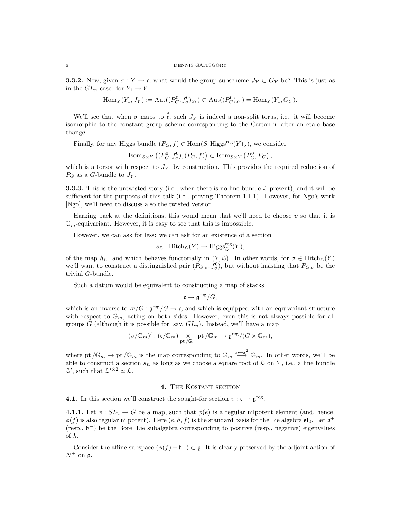**3.3.2.** Now, given  $\sigma: Y \to \mathfrak{c}$ , what would the group subscheme  $J_Y \subset G_Y$  be? This is just as in the  $GL_n$ -case: for  $Y_1 \to Y$ 

$$
Hom_Y(Y_1, J_Y) := Aut((P^0_G, f^0_{\sigma})_{Y_1}) \subset Aut((P^0_G)_{Y_1}) = Hom_Y(Y_1, G_Y).
$$

We'll see that when  $\sigma$  maps to  $\hat{\mathfrak{c}}$ , such  $J_Y$  is indeed a non-split torus, i.e., it will become isomorphic to the constant group scheme corresponding to the Cartan  $T$  after an etale base change.

Finally, for any Higgs bundle  $(P_G, f) \in \text{Hom}(S, Higgs^{\text{reg}}(Y)_{\sigma})$ , we consider

Isom<sub>S×Y</sub>  $((P_G^0, f_\sigma^0), (P_G, f)) \subset \text{Isom}_{S \times Y} (P_G^0, P_G)$ ,

which is a torsor with respect to  $J_Y$ , by construction. This provides the required reduction of  $P_G$  as a G-bundle to  $J_Y$ .

**3.3.3.** This is the untwisted story (i.e., when there is no line bundle  $\mathcal{L}$  present), and it will be sufficient for the purposes of this talk (i.e., proving Theorem 1.1.1). However, for Ngo's work [Ngo], we'll need to discuss also the twisted version.

Harking back at the definitions, this would mean that we'll need to choose  $v$  so that it is  $\mathbb{G}_m$ -equivariant. However, it is easy to see that this is impossible.

However, we can ask for less: we can ask for an existence of a section

$$
s_{\mathcal{L}}: \mathrm{Hitch}_{\mathcal{L}}(Y) \to \mathrm{Higgs}_{\mathcal{L}}^{\mathrm{reg}}(Y),
$$

of the map  $h_{\mathcal{L}}$ , and which behaves functorially in  $(Y, \mathcal{L})$ . In other words, for  $\sigma \in \text{Hitch}_{\mathcal{L}}(Y)$ we'll want to construct a distinguished pair  $(P_{G,\sigma}, f_{\sigma}^0)$ , but without insisting that  $P_{G,\sigma}$  be the trivial G-bundle.

Such a datum would be equivalent to constructing a map of stacks

$$
\mathfrak{c} \to \mathfrak{g}^{\rm reg}/G,
$$

which is an inverse to  $\varpi/G : \mathfrak{g}^{\text{reg}}/G \to \mathfrak{c}$ , and which is equipped with an equivariant structure with respect to  $\mathbb{G}_m$ , acting on both sides. However, even this is not always possible for all groups G (although it is possible for, say,  $GL_n$ ). Instead, we'll have a map

$$
(\upsilon/{\mathbb G}_m)' : (\mathfrak{c}/{\mathbb G}_m) \underset{\text{pt }\slash {\mathbb G}_m}{\times} \text{pt }/{\mathbb G}_m \to \mathfrak{g}^{\text{reg}}/(G\times {\mathbb G}_m),
$$

where pt  $/\mathbb{G}_m \to$  pt  $/\mathbb{G}_m$  is the map corresponding to  $\mathbb{G}_m \stackrel{x \mapsto x^2}{\longrightarrow} \mathbb{G}_m$ . In other words, we'll be able to construct a section  $s_{\mathcal{L}}$  as long as we choose a square root of  $\mathcal{L}$  on Y, i.e., a line bundle  $\mathcal{L}'$ , such that  $\mathcal{L}'^{\otimes 2} \simeq \mathcal{L}$ .

### 4. The Kostant section

**4.1.** In this section we'll construct the sought-for section  $v : \mathfrak{c} \to \mathfrak{g}^{\text{reg}}$ .

4.1.1. Let  $\phi : SL_2 \to G$  be a map, such that  $\phi(e)$  is a regular nilpotent element (and, hence,  $\phi(f)$  is also regular nilpotent). Here  $(e, h, f)$  is the standard basis for the Lie algebra  $\mathfrak{sl}_2$ . Let  $\mathfrak{b}^+$ (resp., b <sup>−</sup>) be the Borel Lie subalgebra corresponding to positive (resp., negative) eigenvalues of h.

Consider the affine subspace  $(\phi(f) + \mathfrak{b}^+) \subset \mathfrak{g}$ . It is clearly preserved by the adjoint action of  $N^+$  on  $\mathfrak{a}$ .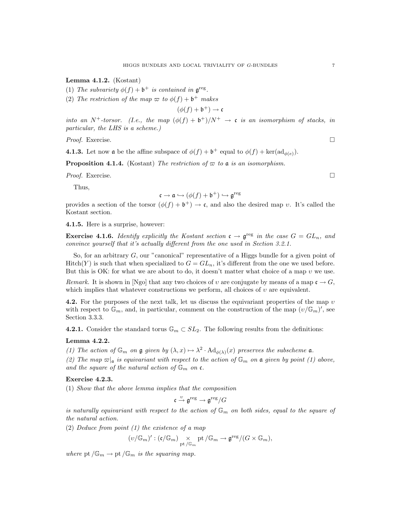Lemma 4.1.2. (Kostant)

(1) The subvariety  $\phi(f) + \mathfrak{b}^+$  is contained in  $\mathfrak{g}^{\text{reg}}$ .

(2) The restriction of the map  $\varpi$  to  $\phi(f) + \mathfrak{b}^+$  makes

 $(\phi(f) + \mathfrak{b}^+) \rightarrow \mathfrak{c}$ 

into an N<sup>+</sup>-torsor. (I.e., the map  $(\phi(f) + b^+)/N^+ \rightarrow \mathfrak{c}$  is an isomorphism of stacks, in particular, the LHS is a scheme.)

Proof. Exercise. □

**4.1.3.** Let now **a** be the affine subspace of  $\phi(f) + \mathfrak{b}^+$  equal to  $\phi(f) + \ker(\mathrm{ad}_{\phi(e)})$ .

**Proposition 4.1.4.** (Kostant) The restriction of  $\varpi$  to a is an isomorphism.

Proof. Exercise. □

Thus,

$$
\mathfrak{c} \to \mathfrak{a} \hookrightarrow (\phi(f) + \mathfrak{b}^+) \hookrightarrow \mathfrak{g}^{\text{reg}}
$$

provides a section of the torsor  $(\phi(f) + \mathfrak{b}^+) \to \mathfrak{c}$ , and also the desired map v. It's called the Kostant section.

4.1.5. Here is a surprise, however:

**Exercise 4.1.6.** Identify explicitly the Kostant section  $c \rightarrow \mathfrak{g}^{\text{reg}}$  in the case  $G = GL_n$ , and convince yourself that it's actually different from the one used in Section 3.2.1.

So, for an arbitrary  $G$ , our "canonical" representative of a Higgs bundle for a given point of  $Hitch(Y)$  is such that when specialized to  $G = GL_n$ , it's different from the one we used before. But this is OK: for what we are about to do, it doesn't matter what choice of a map  $v$  we use.

Remark. It is shown in [Ngo] that any two choices of v are conjugate by means of a map  $\mathfrak{c} \to G$ , which implies that whatever constructions we perform, all choices of  $v$  are equivalent.

4.2. For the purposes of the next talk, let us discuss the equivariant properties of the map  $v$ with respect to  $\mathbb{G}_m$ , and, in particular, comment on the construction of the map  $(v/\mathbb{G}_m)'$ , see Section 3.3.3.

4.2.1. Consider the standard torus  $\mathbb{G}_m \subset SL_2$ . The following results from the definitions:

# Lemma 4.2.2.

(1) The action of  $\mathbb{G}_m$  on  $\mathfrak g$  given by  $(\lambda, x) \mapsto \lambda^2 \cdot \mathrm{Ad}_{\phi(\lambda)}(x)$  preserves the subscheme  $\mathfrak a$ .

(2) The map  $\varpi|_{\mathfrak{a}}$  is equivariant with respect to the action of  $\mathbb{G}_m$  on  $\mathfrak{a}$  given by point (1) above, and the square of the natural action of  $\mathbb{G}_m$  on  $\mathfrak{c}$ .

# Exercise 4.2.3.

(1) Show that the above lemma implies that the composition

$$
\mathfrak{c} \stackrel{\upsilon}{\rightarrow} \mathfrak{g}^{\mathrm{reg}} \rightarrow \mathfrak{g}^{\mathrm{reg}}/G
$$

is naturally equivariant with respect to the action of  $\mathbb{G}_m$  on both sides, equal to the square of the natural action.

(2) Deduce from point (1) the existence of a map

$$
(v/\mathbb{G}_m)' : (\mathfrak{c}/\mathbb{G}_m) \underset{\mathrm{pt}}{\times} \underset{/ \mathbb{G}_m}{\times} \mathrm{pt}/\mathbb{G}_m \rightarrow \mathfrak{g}^{\mathrm{reg}}/(G \times \mathbb{G}_m),
$$

where pt  $/\mathbb{G}_m \to \text{pt }/\mathbb{G}_m$  is the squaring map.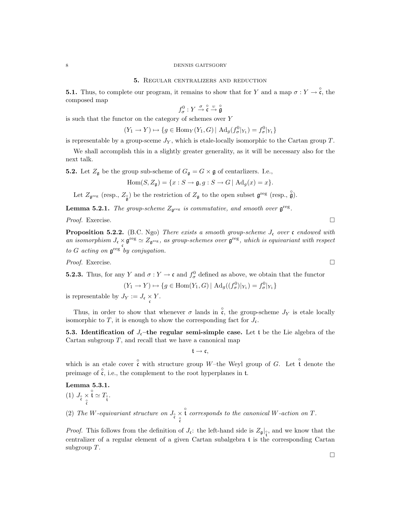### 5. Regular centralizers and reduction

**5.1.** Thus, to complete our program, it remains to show that for Y and a map  $\sigma: Y \to \overset{\circ}{\mathfrak{c}}$ , the composed map

$$
f^0_\sigma:Y\stackrel{\sigma}{\rightarrow}\overset{\circ}{\mathfrak{c}}\stackrel{\upsilon}{\rightarrow}\overset{\circ}{\mathfrak{g}}
$$

is such that the functor on the category of schemes over Y

$$
(Y_1 \to Y) \mapsto \{ g \in \text{Hom}_Y(Y_1, G) \mid \text{Ad}_g(f^0_{\sigma}|_{Y_1}) = f^0_{\sigma}|_{Y_1} \}
$$

is representable by a group-sceme  $J_Y$ , which is etale-locally isomorphic to the Cartan group  $T$ .

We shall accomplish this in a slightly greater generality, as it will be necessary also for the next talk.

**5.2.** Let  $Z_{\mathfrak{g}}$  be the group sub-scheme of  $G_{\mathfrak{g}} = G \times \mathfrak{g}$  of centarlizers. I.e.,

$$
Hom(S, Z_{\mathfrak{g}}) = \{x : S \to \mathfrak{g}, g : S \to G \mid \mathrm{Ad}_g(x) = x\}.
$$

Let  $Z_{\mathfrak{g}^{\text{reg}}}$  (resp.,  $Z_{\mathfrak{g}}$ ) be the restriction of  $Z_{\mathfrak{g}}$  to the open subset  $\mathfrak{g}^{\text{reg}}$  (resp.,  $\hat{\mathfrak{g}}$ ).

**Lemma 5.2.1.** The group-scheme  $Z_{\mathfrak{g}^{\text{reg}}}$  is commutative, and smooth over  $\mathfrak{g}^{\text{reg}}$ .

Proof. Exercise. □

**Proposition 5.2.2.** (B.C. Ngo) There exists a smooth group-scheme  $J_c$  over c endowed with an isomorphism  $J_c \times \mathfrak{g}^{\text{reg}} \simeq Z_{\mathfrak{g}^{\text{reg}}}$ , as group-schemes over  $\mathfrak{g}^{\text{reg}}$ , which is equivariant with respect to G acting on  $\mathfrak{g}^{\text{reg}}$  by conjugation.

Proof. Exercise. □

**5.2.3.** Thus, for any Y and  $\sigma: Y \to \mathfrak{c}$  and  $f_{\sigma}^0$  defined as above, we obtain that the functor

$$
(Y_1 \to Y) \mapsto \{ g \in \text{Hom}(Y_1, G) \mid \text{Ad}_g((f^0_{\sigma})|_{Y_1}) = f^0_{\sigma}|_{Y_1} \}
$$

is representable by  $J_Y := J_{\mathfrak{c}} \times Y$ .

Thus, in order to show that whenever  $\sigma$  lands in  $\hat{c}$ , the group-scheme  $J_Y$  is etale locally isomorphic to T, it is enough to show the corresponding fact for  $J_{\mathfrak{c}}$ .

5.3. Identification of  $J_c$ –the regular semi-simple case. Let t be the Lie algebra of the Cartan subgroup  $T$ , and recall that we have a canonical map

 $t \rightarrow c$ ,

which is an etale cover  $\hat{\mathfrak{c}}$  with structure group W-the Weyl group of G. Let  $\hat{\mathfrak{t}}$  denote the preimage of  $\hat{\mathfrak{c}}$ , i.e., the complement to the root hyperplanes in t.

Lemma 5.3.1.

\n- (1) 
$$
J_{\rho} \times \hat{\mathfrak{t}} \simeq T_{\rho}
$$
.
\n- (2) The *W*-equivariant structure on  $J_{\rho} \times \hat{\mathfrak{t}}$  corresponds to the canonical *W*-action on *T*.
\n

*Proof.* This follows from the definition of  $J_c$ : the left-hand side is  $Z_g|_{\mathfrak{k}^{\circ}}$ , and we know that the centralizer of a regular element of a given Cartan subalgebra t is the corresponding Cartan subgroup T.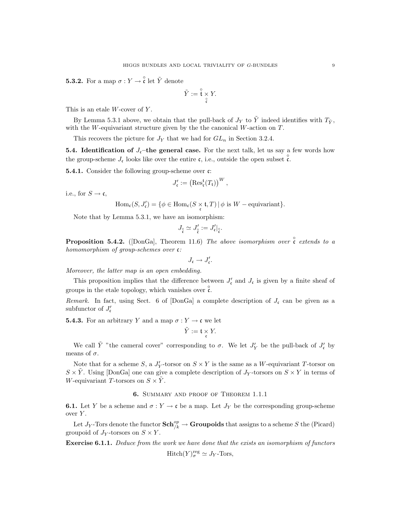**5.3.2.** For a map  $\sigma: Y \to \overset{\circ}{\mathfrak{c}}$  let  $\tilde{Y}$  denote

$$
\tilde{Y}:=\overset{\circ}{\mathfrak{t}}\underset{\overset{\circ}{\mathfrak{c}}} \times Y.
$$

This is an etale  $W$ -cover of  $Y$ .

By Lemma 5.3.1 above, we obtain that the pull-back of  $J_Y$  to  $\tilde{Y}$  indeed identifies with  $T_{\tilde{Y}}$ , with the W-equivariant structure given by the the canonical W-action on  $T$ .

This recovers the picture for  $J_Y$  that we had for  $GL_n$  in Section 3.2.4.

**5.4. Identification of**  $J_c$ **–the general case.** For the next talk, let us say a few words how the group-scheme  $J_c$  looks like over the entire c, i.e., outside the open subset  $\hat{c}$ .

**5.4.1.** Consider the following group-scheme over  $\mathfrak{c}$ :

$$
J'_{\mathfrak{c}} := \left( \mathrm{Res}_{\mathfrak{c}}^{\mathfrak{t}}(T_{\mathfrak{t}}) \right)^W,
$$

i.e., for  $S \to \mathfrak{c}$ ,

$$
\operatorname{Hom}_{\mathfrak{c}}(S, J'_{\mathfrak{c}}) = \{ \phi \in \operatorname{Hom}_{\mathfrak{c}}(S \times_{\mathfrak{c}} \mathfrak{t}, T) \mid \phi \text{ is } W-\text{equivariant} \}.
$$

Note that by Lemma 5.3.1, we have an isomorphism:

$$
J_{\stackrel{\circ}{\mathfrak{c}}}\simeq J'_{\stackrel{\circ}{\mathfrak{c}}}:=J'_{\mathfrak{c}}|_{\stackrel{\circ}{\mathfrak{c}}}.
$$

**Proposition 5.4.2.** ([DonGa], Theorem 11.6) The above isomorphism over  $\hat{c}$  extends to a homomorphism of group-schemes over c:

$$
J_{\mathfrak{c}}\to J'_{\mathfrak{c}}.
$$

Moreover, the latter map is an open embedding.

This proposition implies that the difference between  $J'_{\mathfrak{c}}$  and  $J_{\mathfrak{c}}$  is given by a finite sheaf of groups in the etale topology, which vanishes over  $\hat{\mathfrak{c}}$ .

Remark. In fact, using Sect. 6 of [DonGa] a complete description of  $J_c$  can be given as a subfunctor of  $J'_{\mathfrak{c}}$ 

**5.4.3.** For an arbitrary Y and a map  $\sigma: Y \to \mathfrak{c}$  we let

$$
\tilde{Y} := \mathfrak{t} \underset{\mathfrak{c}}{\times} Y.
$$

We call  $\tilde{Y}$  "the cameral cover" corresponding to  $\sigma$ . We let  $J'_{Y}$  be the pull-back of  $J'_{\sigma}$  by means of  $\sigma$ .

Note that for a scheme S, a  $J'_Y$ -torsor on  $S \times Y$  is the same as a W-equivariant T-torsor on  $S \times \tilde{Y}$ . Using [DonGa] one can give a complete description of  $J_Y$ -torsors on  $S \times Y$  in terms of W-equivariant T-torsors on  $S \times Y$ .

# 6. Summary and proof of Theorem 1.1.1

**6.1.** Let Y be a scheme and  $\sigma: Y \to \mathfrak{c}$  be a map. Let  $J_Y$  be the corresponding group-scheme over Y.

Let  $J_Y$ -Tors denote the functor  $\mathbf{Sch}^{op}_{/k} \to \mathbf{Groupoids}$  that assigns to a scheme  $S$  the (Picard) groupoid of  $J_Y$ -torsors on  $S \times Y$ .

Exercise 6.1.1. Deduce from the work we have done that the exists an isomorphism of functors  $Hitch(Y)_{\sigma}^{reg} \simeq J_Y\text{-Tors},$